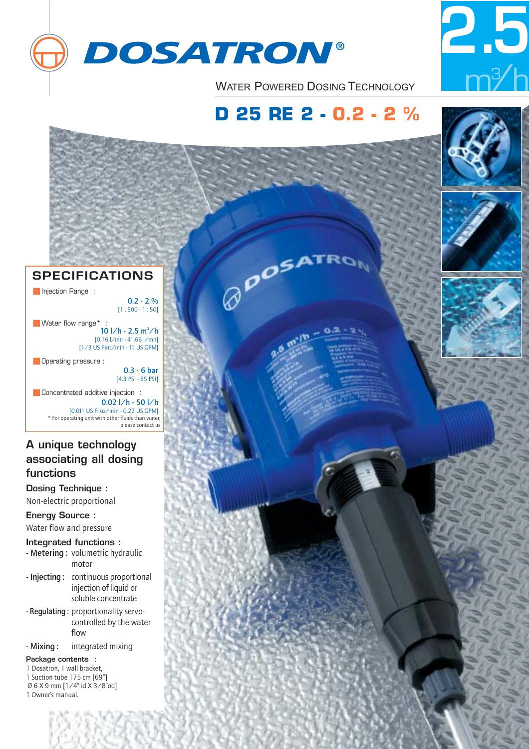



WATER POWERED DOSING TECHNOLOGY

# **D 25 RE 2 - 0.2 - 2 %**

**BROSATRS** 



## **SPECIFICATIONS**

■ Injection Range :

 $0.2 - 2\%$ [1 : 500 - 1 : 50]

■ Water flow range\*  $10$   $1/h - 2.5$  m<sup>3</sup>/h [0.16 l/mn - 41.66 l/mn] [1/3 US Pint/min - 11 US GPM]

■ Operating pressure :

0.3 - 6 bar [4.3 PSI - 85 PSI]

■ Concentrated additive injection : 0.02 l/h - 50 l/h [0.011 US Fl oz/min - 0.22 US GPM] \* For operating unit with other fluids than water, please contact us

# **A unique technology associating all dosing functions**

**Dosing Technique :**

Non-electric proportional

**Energy Source :** Water flow and pressure

**Integrated functions :**

- Metering : volumetric hydraulic motor
- Injecting : continuous proportional injection of liquid or soluble concentrate
- Regulating : proportionality servocontrolled by the water flow
- Mixing : integrated mixing

**Package contents :**

1 Dosatron, 1 wall bracket, 1 Suction tube 175 cm [69"] Ø 6 X 9 mm [1/4'' id X 3/8''od] 1 Owner's manual.